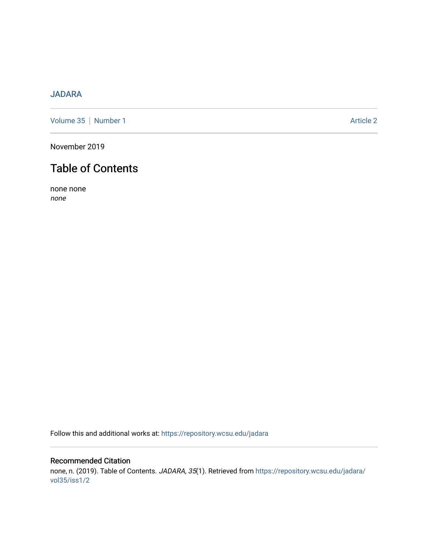## [JADARA](https://repository.wcsu.edu/jadara)

[Volume 35](https://repository.wcsu.edu/jadara/vol35) | [Number 1](https://repository.wcsu.edu/jadara/vol35/iss1) Article 2

November 2019

# Table of Contents

none none none

Follow this and additional works at: [https://repository.wcsu.edu/jadara](https://repository.wcsu.edu/jadara?utm_source=repository.wcsu.edu%2Fjadara%2Fvol35%2Fiss1%2F2&utm_medium=PDF&utm_campaign=PDFCoverPages)

### Recommended Citation none, n. (2019). Table of Contents. JADARA, 35(1). Retrieved from [https://repository.wcsu.edu/jadara/](https://repository.wcsu.edu/jadara/vol35/iss1/2?utm_source=repository.wcsu.edu%2Fjadara%2Fvol35%2Fiss1%2F2&utm_medium=PDF&utm_campaign=PDFCoverPages) [vol35/iss1/2](https://repository.wcsu.edu/jadara/vol35/iss1/2?utm_source=repository.wcsu.edu%2Fjadara%2Fvol35%2Fiss1%2F2&utm_medium=PDF&utm_campaign=PDFCoverPages)